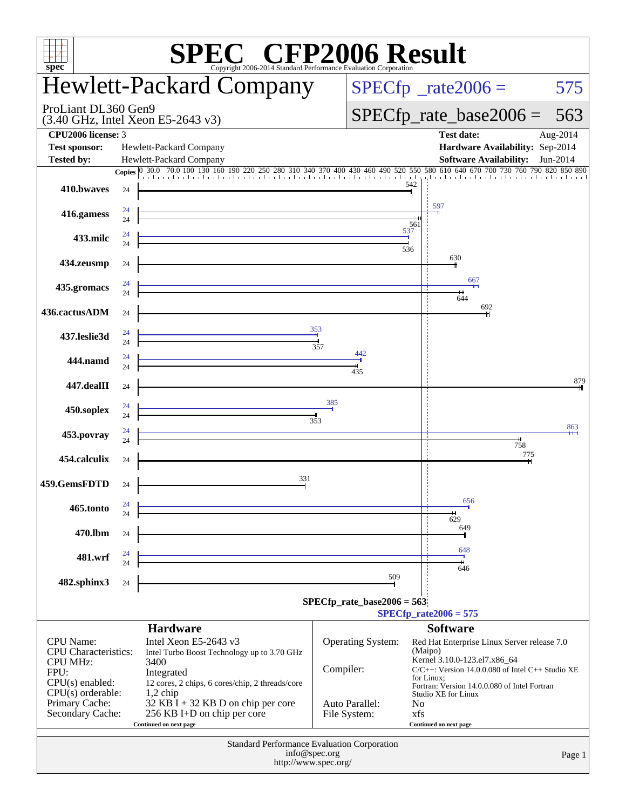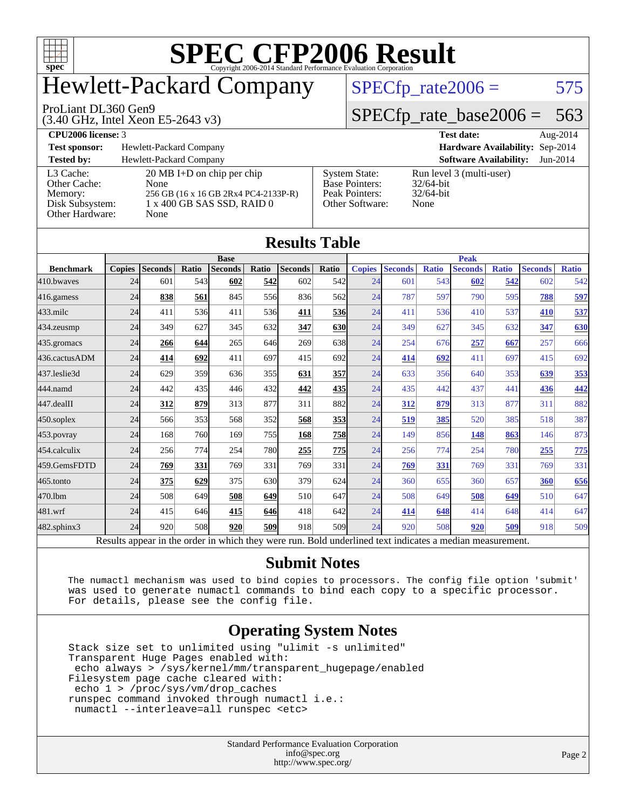

# Hewlett-Packard Company

#### ProLiant DL360 Gen9

(3.40 GHz, Intel Xeon E5-2643 v3)

 $SPECfp_rate2006 = 575$  $SPECfp_rate2006 = 575$ 

### [SPECfp\\_rate\\_base2006 =](http://www.spec.org/auto/cpu2006/Docs/result-fields.html#SPECfpratebase2006) 563

**[CPU2006 license:](http://www.spec.org/auto/cpu2006/Docs/result-fields.html#CPU2006license)** 3 **[Test date:](http://www.spec.org/auto/cpu2006/Docs/result-fields.html#Testdate)** Aug-2014

**[Test sponsor:](http://www.spec.org/auto/cpu2006/Docs/result-fields.html#Testsponsor)** Hewlett-Packard Company **[Hardware Availability:](http://www.spec.org/auto/cpu2006/Docs/result-fields.html#HardwareAvailability)** Sep-2014

**[Tested by:](http://www.spec.org/auto/cpu2006/Docs/result-fields.html#Testedby)** Hewlett-Packard Company **[Software Availability:](http://www.spec.org/auto/cpu2006/Docs/result-fields.html#SoftwareAvailability)** Jun-2014

[Other Cache:](http://www.spec.org/auto/cpu2006/Docs/result-fields.html#OtherCache) [Other Hardware:](http://www.spec.org/auto/cpu2006/Docs/result-fields.html#OtherHardware) None

[L3 Cache:](http://www.spec.org/auto/cpu2006/Docs/result-fields.html#L3Cache) 20 MB I+D on chip per chip<br>Other Cache: None [Memory:](http://www.spec.org/auto/cpu2006/Docs/result-fields.html#Memory) 256 GB (16 x 16 GB 2Rx4 PC4-2133P-R) [Disk Subsystem:](http://www.spec.org/auto/cpu2006/Docs/result-fields.html#DiskSubsystem) 1 x 400 GB SAS SSD, RAID 0

| <b>System State:</b>  |  |
|-----------------------|--|
| <b>Base Pointers:</b> |  |
| Peak Pointers:        |  |
| Other Software:       |  |
|                       |  |

Run level 3 (multi-user) 32/64-bit 32/64-bit None.

| <b>Results Table</b> |               |                                                                                                          |       |                |       |                |            |               |                |              |                |              |                |              |
|----------------------|---------------|----------------------------------------------------------------------------------------------------------|-------|----------------|-------|----------------|------------|---------------|----------------|--------------|----------------|--------------|----------------|--------------|
|                      | <b>Base</b>   |                                                                                                          |       |                |       |                |            | <b>Peak</b>   |                |              |                |              |                |              |
| <b>Benchmark</b>     | <b>Copies</b> | <b>Seconds</b>                                                                                           | Ratio | <b>Seconds</b> | Ratio | <b>Seconds</b> | Ratio      | <b>Copies</b> | <b>Seconds</b> | <b>Ratio</b> | <b>Seconds</b> | <b>Ratio</b> | <b>Seconds</b> | <b>Ratio</b> |
| 410.bwayes           | 24            | 601                                                                                                      | 543   | 602            | 542   | 602            | 542l       | 24            | 601            | 543          | 602            | 542          | 602            | 542          |
| $416$ .gamess        | 24            | 838                                                                                                      | 561   | 845            | 556   | 836            | 562l       | 24            | 787            | 597          | 790            | 595          | 788            | 597          |
| $433$ .milc          | 24            | 411                                                                                                      | 536   | 411            | 536   | 411            | 536        | 24            | 411            | 536          | 410            | 537          | 410            | 537          |
| $434$ . zeusmp       | 24            | 349                                                                                                      | 627   | 345            | 632   | 347            | 630        | 24            | 349            | 627          | 345            | 632          | 347            | 630          |
| 435.gromacs          | 24            | 266                                                                                                      | 644   | 265            | 646   | 269            | 638        | 24            | 254            | 676          | 257            | 667          | 257            | 666          |
| 436.cactusADM        | 24            | 414                                                                                                      | 692   | 411            | 697   | 415            | 692l       | 24            | 414            | 692          | 411            | 697          | 415            | 692          |
| 437.leslie3d         | 24            | 629                                                                                                      | 359   | 636            | 355   | 631            | 357        | 24            | 633            | 356          | 640            | 353          | 639            | 353          |
| 444.namd             | 24            | 442                                                                                                      | 435   | 446            | 432   | 442            | <u>435</u> | 24            | 435            | 442          | 437            | 441          | 436            | 442          |
| $447$ .dealII        | 24            | 312                                                                                                      | 879   | 313            | 877   | 311            | 882l       | 24            | 312            | 879          | 313            | 877          | 311            | 882          |
| $450$ .soplex        | 24            | 566                                                                                                      | 353   | 568            | 352   | 568            | 353        | 24            | 519            | 385          | 520            | 385          | 518            | 387          |
| 453.povray           | 24            | 168                                                                                                      | 760   | 169            | 755   | 168            | 758        | 24            | 149            | 856          | 148            | 863          | 146            | 873          |
| 454.calculix         | 24            | 256                                                                                                      | 774   | 254            | 780   | 255            | 775        | 24            | 256            | 774          | 254            | 780          | 255            | 775          |
| 459.GemsFDTD         | 24            | 769                                                                                                      | 331   | 769            | 331   | 769            | 331        | 24            | 769            | 331          | 769            | 331          | 769            | 331          |
| 465.tonto            | 24            | 375                                                                                                      | 629   | 375            | 630   | 379            | 624        | 24            | 360            | 655          | 360            | 657          | 360            | 656          |
| 470.1bm              | 24            | 508                                                                                                      | 649   | 508            | 649   | 510            | 647        | 24            | 508            | 649          | 508            | 649          | 510            | 647          |
| 481.wrf              | 24            | 415                                                                                                      | 646   | 415            | 646   | 418            | 642        | 24            | 414            | 648          | 414            | 648          | 414            | 647          |
| 482.sphinx3          | 24            | 920                                                                                                      | 508   | 920            | 509   | 918            | 509        | 24            | 920            | 508          | 920            | 509          | 918            | 509          |
|                      |               | Results appear in the order in which they were run. Bold underlined text indicates a median measurement. |       |                |       |                |            |               |                |              |                |              |                |              |

#### **[Submit Notes](http://www.spec.org/auto/cpu2006/Docs/result-fields.html#SubmitNotes)**

 The numactl mechanism was used to bind copies to processors. The config file option 'submit' was used to generate numactl commands to bind each copy to a specific processor. For details, please see the config file.

#### **[Operating System Notes](http://www.spec.org/auto/cpu2006/Docs/result-fields.html#OperatingSystemNotes)**

 Stack size set to unlimited using "ulimit -s unlimited" Transparent Huge Pages enabled with: echo always > /sys/kernel/mm/transparent\_hugepage/enabled Filesystem page cache cleared with: echo 1 > /proc/sys/vm/drop\_caches runspec command invoked through numactl i.e.: numactl --interleave=all runspec <etc>

> Standard Performance Evaluation Corporation [info@spec.org](mailto:info@spec.org) <http://www.spec.org/>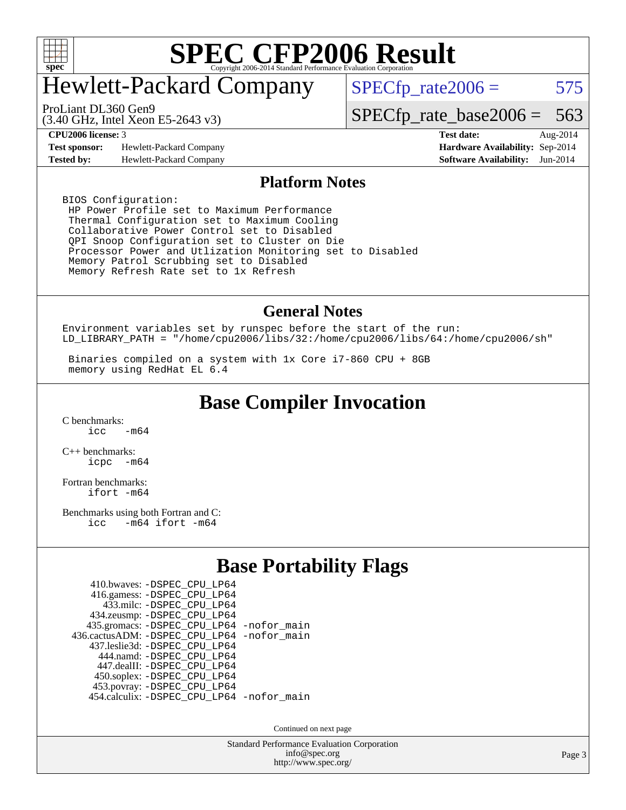

# Hewlett-Packard Company

(3.40 GHz, Intel Xeon E5-2643 v3) ProLiant DL360 Gen9

**[Test sponsor:](http://www.spec.org/auto/cpu2006/Docs/result-fields.html#Testsponsor)** Hewlett-Packard Company **[Hardware Availability:](http://www.spec.org/auto/cpu2006/Docs/result-fields.html#HardwareAvailability)** Sep-2014 **[Tested by:](http://www.spec.org/auto/cpu2006/Docs/result-fields.html#Testedby)** Hewlett-Packard Company **[Software Availability:](http://www.spec.org/auto/cpu2006/Docs/result-fields.html#SoftwareAvailability)** Jun-2014

 $SPECfp_rate2006 = 575$  $SPECfp_rate2006 = 575$ 

[SPECfp\\_rate\\_base2006 =](http://www.spec.org/auto/cpu2006/Docs/result-fields.html#SPECfpratebase2006) 563

**[CPU2006 license:](http://www.spec.org/auto/cpu2006/Docs/result-fields.html#CPU2006license)** 3 **[Test date:](http://www.spec.org/auto/cpu2006/Docs/result-fields.html#Testdate)** Aug-2014

#### **[Platform Notes](http://www.spec.org/auto/cpu2006/Docs/result-fields.html#PlatformNotes)**

BIOS Configuration: HP Power Profile set to Maximum Performance Thermal Configuration set to Maximum Cooling Collaborative Power Control set to Disabled QPI Snoop Configuration set to Cluster on Die Processor Power and Utlization Monitoring set to Disabled Memory Patrol Scrubbing set to Disabled Memory Refresh Rate set to 1x Refresh

### **[General Notes](http://www.spec.org/auto/cpu2006/Docs/result-fields.html#GeneralNotes)**

Environment variables set by runspec before the start of the run: LD\_LIBRARY\_PATH = "/home/cpu2006/libs/32:/home/cpu2006/libs/64:/home/cpu2006/sh"

 Binaries compiled on a system with 1x Core i7-860 CPU + 8GB memory using RedHat EL 6.4

### **[Base Compiler Invocation](http://www.spec.org/auto/cpu2006/Docs/result-fields.html#BaseCompilerInvocation)**

[C benchmarks](http://www.spec.org/auto/cpu2006/Docs/result-fields.html#Cbenchmarks):  $\frac{1}{2}$ cc  $-\text{m64}$ 

[C++ benchmarks:](http://www.spec.org/auto/cpu2006/Docs/result-fields.html#CXXbenchmarks) [icpc -m64](http://www.spec.org/cpu2006/results/res2014q3/cpu2006-20140908-31224.flags.html#user_CXXbase_intel_icpc_64bit_bedb90c1146cab66620883ef4f41a67e)

[Fortran benchmarks](http://www.spec.org/auto/cpu2006/Docs/result-fields.html#Fortranbenchmarks): [ifort -m64](http://www.spec.org/cpu2006/results/res2014q3/cpu2006-20140908-31224.flags.html#user_FCbase_intel_ifort_64bit_ee9d0fb25645d0210d97eb0527dcc06e)

[Benchmarks using both Fortran and C](http://www.spec.org/auto/cpu2006/Docs/result-fields.html#BenchmarksusingbothFortranandC): [icc -m64](http://www.spec.org/cpu2006/results/res2014q3/cpu2006-20140908-31224.flags.html#user_CC_FCbase_intel_icc_64bit_0b7121f5ab7cfabee23d88897260401c) [ifort -m64](http://www.spec.org/cpu2006/results/res2014q3/cpu2006-20140908-31224.flags.html#user_CC_FCbase_intel_ifort_64bit_ee9d0fb25645d0210d97eb0527dcc06e)

# **[Base Portability Flags](http://www.spec.org/auto/cpu2006/Docs/result-fields.html#BasePortabilityFlags)**

| 410.bwaves: -DSPEC CPU LP64                |  |
|--------------------------------------------|--|
| 416.gamess: -DSPEC_CPU_LP64                |  |
| 433.milc: - DSPEC_CPU LP64                 |  |
| 434.zeusmp: -DSPEC_CPU_LP64                |  |
| 435.gromacs: -DSPEC_CPU_LP64 -nofor_main   |  |
| 436.cactusADM: -DSPEC CPU LP64 -nofor main |  |
| 437.leslie3d: -DSPEC CPU LP64              |  |
| 444.namd: -DSPEC CPU LP64                  |  |
| 447.dealII: -DSPEC CPU LP64                |  |
| 450.soplex: -DSPEC_CPU_LP64                |  |
| 453.povray: -DSPEC_CPU_LP64                |  |
| 454.calculix: -DSPEC_CPU_LP64 -nofor_main  |  |

Continued on next page

Standard Performance Evaluation Corporation [info@spec.org](mailto:info@spec.org) <http://www.spec.org/>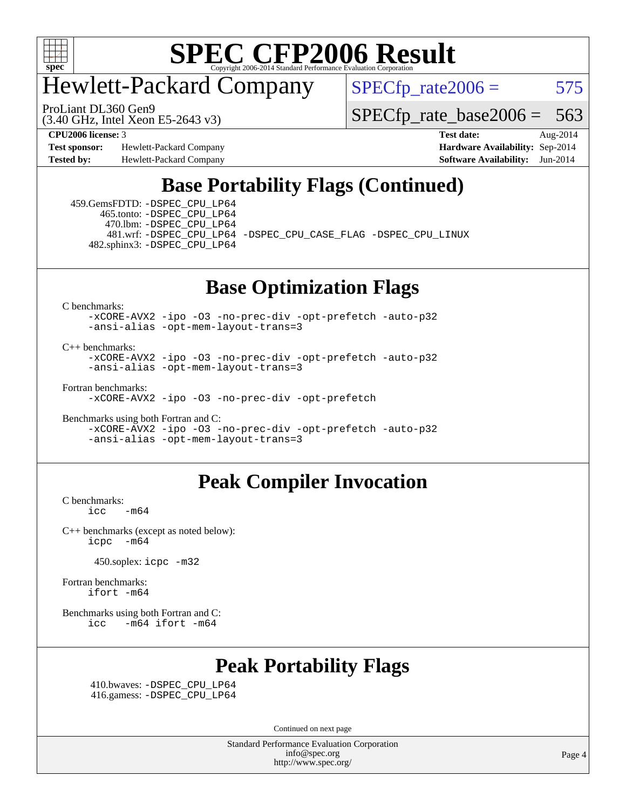

# Hewlett-Packard Company

 $SPECfp_rate2006 = 575$  $SPECfp_rate2006 = 575$ 

(3.40 GHz, Intel Xeon E5-2643 v3) ProLiant DL360 Gen9

[SPECfp\\_rate\\_base2006 =](http://www.spec.org/auto/cpu2006/Docs/result-fields.html#SPECfpratebase2006) 563

**[Test sponsor:](http://www.spec.org/auto/cpu2006/Docs/result-fields.html#Testsponsor)** Hewlett-Packard Company **[Hardware Availability:](http://www.spec.org/auto/cpu2006/Docs/result-fields.html#HardwareAvailability)** Sep-2014 **[Tested by:](http://www.spec.org/auto/cpu2006/Docs/result-fields.html#Testedby)** Hewlett-Packard Company **[Software Availability:](http://www.spec.org/auto/cpu2006/Docs/result-fields.html#SoftwareAvailability)** Jun-2014

**[CPU2006 license:](http://www.spec.org/auto/cpu2006/Docs/result-fields.html#CPU2006license)** 3 **[Test date:](http://www.spec.org/auto/cpu2006/Docs/result-fields.html#Testdate)** Aug-2014

# **[Base Portability Flags \(Continued\)](http://www.spec.org/auto/cpu2006/Docs/result-fields.html#BasePortabilityFlags)**

 459.GemsFDTD: [-DSPEC\\_CPU\\_LP64](http://www.spec.org/cpu2006/results/res2014q3/cpu2006-20140908-31224.flags.html#suite_basePORTABILITY459_GemsFDTD_DSPEC_CPU_LP64) 465.tonto: [-DSPEC\\_CPU\\_LP64](http://www.spec.org/cpu2006/results/res2014q3/cpu2006-20140908-31224.flags.html#suite_basePORTABILITY465_tonto_DSPEC_CPU_LP64) 470.lbm: [-DSPEC\\_CPU\\_LP64](http://www.spec.org/cpu2006/results/res2014q3/cpu2006-20140908-31224.flags.html#suite_basePORTABILITY470_lbm_DSPEC_CPU_LP64) 482.sphinx3: [-DSPEC\\_CPU\\_LP64](http://www.spec.org/cpu2006/results/res2014q3/cpu2006-20140908-31224.flags.html#suite_basePORTABILITY482_sphinx3_DSPEC_CPU_LP64)

481.wrf: [-DSPEC\\_CPU\\_LP64](http://www.spec.org/cpu2006/results/res2014q3/cpu2006-20140908-31224.flags.html#suite_basePORTABILITY481_wrf_DSPEC_CPU_LP64) [-DSPEC\\_CPU\\_CASE\\_FLAG](http://www.spec.org/cpu2006/results/res2014q3/cpu2006-20140908-31224.flags.html#b481.wrf_baseCPORTABILITY_DSPEC_CPU_CASE_FLAG) [-DSPEC\\_CPU\\_LINUX](http://www.spec.org/cpu2006/results/res2014q3/cpu2006-20140908-31224.flags.html#b481.wrf_baseCPORTABILITY_DSPEC_CPU_LINUX)

### **[Base Optimization Flags](http://www.spec.org/auto/cpu2006/Docs/result-fields.html#BaseOptimizationFlags)**

[C benchmarks](http://www.spec.org/auto/cpu2006/Docs/result-fields.html#Cbenchmarks):

[-xCORE-AVX2](http://www.spec.org/cpu2006/results/res2014q3/cpu2006-20140908-31224.flags.html#user_CCbase_f-xAVX2_5f5fc0cbe2c9f62c816d3e45806c70d7) [-ipo](http://www.spec.org/cpu2006/results/res2014q3/cpu2006-20140908-31224.flags.html#user_CCbase_f-ipo) [-O3](http://www.spec.org/cpu2006/results/res2014q3/cpu2006-20140908-31224.flags.html#user_CCbase_f-O3) [-no-prec-div](http://www.spec.org/cpu2006/results/res2014q3/cpu2006-20140908-31224.flags.html#user_CCbase_f-no-prec-div) [-opt-prefetch](http://www.spec.org/cpu2006/results/res2014q3/cpu2006-20140908-31224.flags.html#user_CCbase_f-opt-prefetch) [-auto-p32](http://www.spec.org/cpu2006/results/res2014q3/cpu2006-20140908-31224.flags.html#user_CCbase_f-auto-p32) [-ansi-alias](http://www.spec.org/cpu2006/results/res2014q3/cpu2006-20140908-31224.flags.html#user_CCbase_f-ansi-alias) [-opt-mem-layout-trans=3](http://www.spec.org/cpu2006/results/res2014q3/cpu2006-20140908-31224.flags.html#user_CCbase_f-opt-mem-layout-trans_a7b82ad4bd7abf52556d4961a2ae94d5)

[C++ benchmarks:](http://www.spec.org/auto/cpu2006/Docs/result-fields.html#CXXbenchmarks)

[-xCORE-AVX2](http://www.spec.org/cpu2006/results/res2014q3/cpu2006-20140908-31224.flags.html#user_CXXbase_f-xAVX2_5f5fc0cbe2c9f62c816d3e45806c70d7) [-ipo](http://www.spec.org/cpu2006/results/res2014q3/cpu2006-20140908-31224.flags.html#user_CXXbase_f-ipo) [-O3](http://www.spec.org/cpu2006/results/res2014q3/cpu2006-20140908-31224.flags.html#user_CXXbase_f-O3) [-no-prec-div](http://www.spec.org/cpu2006/results/res2014q3/cpu2006-20140908-31224.flags.html#user_CXXbase_f-no-prec-div) [-opt-prefetch](http://www.spec.org/cpu2006/results/res2014q3/cpu2006-20140908-31224.flags.html#user_CXXbase_f-opt-prefetch) [-auto-p32](http://www.spec.org/cpu2006/results/res2014q3/cpu2006-20140908-31224.flags.html#user_CXXbase_f-auto-p32) [-ansi-alias](http://www.spec.org/cpu2006/results/res2014q3/cpu2006-20140908-31224.flags.html#user_CXXbase_f-ansi-alias) [-opt-mem-layout-trans=3](http://www.spec.org/cpu2006/results/res2014q3/cpu2006-20140908-31224.flags.html#user_CXXbase_f-opt-mem-layout-trans_a7b82ad4bd7abf52556d4961a2ae94d5)

[Fortran benchmarks](http://www.spec.org/auto/cpu2006/Docs/result-fields.html#Fortranbenchmarks): [-xCORE-AVX2](http://www.spec.org/cpu2006/results/res2014q3/cpu2006-20140908-31224.flags.html#user_FCbase_f-xAVX2_5f5fc0cbe2c9f62c816d3e45806c70d7) [-ipo](http://www.spec.org/cpu2006/results/res2014q3/cpu2006-20140908-31224.flags.html#user_FCbase_f-ipo) [-O3](http://www.spec.org/cpu2006/results/res2014q3/cpu2006-20140908-31224.flags.html#user_FCbase_f-O3) [-no-prec-div](http://www.spec.org/cpu2006/results/res2014q3/cpu2006-20140908-31224.flags.html#user_FCbase_f-no-prec-div) [-opt-prefetch](http://www.spec.org/cpu2006/results/res2014q3/cpu2006-20140908-31224.flags.html#user_FCbase_f-opt-prefetch)

[Benchmarks using both Fortran and C](http://www.spec.org/auto/cpu2006/Docs/result-fields.html#BenchmarksusingbothFortranandC):

[-xCORE-AVX2](http://www.spec.org/cpu2006/results/res2014q3/cpu2006-20140908-31224.flags.html#user_CC_FCbase_f-xAVX2_5f5fc0cbe2c9f62c816d3e45806c70d7) [-ipo](http://www.spec.org/cpu2006/results/res2014q3/cpu2006-20140908-31224.flags.html#user_CC_FCbase_f-ipo) [-O3](http://www.spec.org/cpu2006/results/res2014q3/cpu2006-20140908-31224.flags.html#user_CC_FCbase_f-O3) [-no-prec-div](http://www.spec.org/cpu2006/results/res2014q3/cpu2006-20140908-31224.flags.html#user_CC_FCbase_f-no-prec-div) [-opt-prefetch](http://www.spec.org/cpu2006/results/res2014q3/cpu2006-20140908-31224.flags.html#user_CC_FCbase_f-opt-prefetch) [-auto-p32](http://www.spec.org/cpu2006/results/res2014q3/cpu2006-20140908-31224.flags.html#user_CC_FCbase_f-auto-p32) [-ansi-alias](http://www.spec.org/cpu2006/results/res2014q3/cpu2006-20140908-31224.flags.html#user_CC_FCbase_f-ansi-alias) [-opt-mem-layout-trans=3](http://www.spec.org/cpu2006/results/res2014q3/cpu2006-20140908-31224.flags.html#user_CC_FCbase_f-opt-mem-layout-trans_a7b82ad4bd7abf52556d4961a2ae94d5)

### **[Peak Compiler Invocation](http://www.spec.org/auto/cpu2006/Docs/result-fields.html#PeakCompilerInvocation)**

[C benchmarks](http://www.spec.org/auto/cpu2006/Docs/result-fields.html#Cbenchmarks):  $\text{icc}$   $-\text{m64}$ 

[C++ benchmarks \(except as noted below\):](http://www.spec.org/auto/cpu2006/Docs/result-fields.html#CXXbenchmarksexceptasnotedbelow) [icpc -m64](http://www.spec.org/cpu2006/results/res2014q3/cpu2006-20140908-31224.flags.html#user_CXXpeak_intel_icpc_64bit_bedb90c1146cab66620883ef4f41a67e)

450.soplex: [icpc -m32](http://www.spec.org/cpu2006/results/res2014q3/cpu2006-20140908-31224.flags.html#user_peakCXXLD450_soplex_intel_icpc_4e5a5ef1a53fd332b3c49e69c3330699)

[Fortran benchmarks](http://www.spec.org/auto/cpu2006/Docs/result-fields.html#Fortranbenchmarks): [ifort -m64](http://www.spec.org/cpu2006/results/res2014q3/cpu2006-20140908-31224.flags.html#user_FCpeak_intel_ifort_64bit_ee9d0fb25645d0210d97eb0527dcc06e)

[Benchmarks using both Fortran and C](http://www.spec.org/auto/cpu2006/Docs/result-fields.html#BenchmarksusingbothFortranandC): [icc -m64](http://www.spec.org/cpu2006/results/res2014q3/cpu2006-20140908-31224.flags.html#user_CC_FCpeak_intel_icc_64bit_0b7121f5ab7cfabee23d88897260401c) [ifort -m64](http://www.spec.org/cpu2006/results/res2014q3/cpu2006-20140908-31224.flags.html#user_CC_FCpeak_intel_ifort_64bit_ee9d0fb25645d0210d97eb0527dcc06e)

### **[Peak Portability Flags](http://www.spec.org/auto/cpu2006/Docs/result-fields.html#PeakPortabilityFlags)**

 410.bwaves: [-DSPEC\\_CPU\\_LP64](http://www.spec.org/cpu2006/results/res2014q3/cpu2006-20140908-31224.flags.html#suite_peakPORTABILITY410_bwaves_DSPEC_CPU_LP64) 416.gamess: [-DSPEC\\_CPU\\_LP64](http://www.spec.org/cpu2006/results/res2014q3/cpu2006-20140908-31224.flags.html#suite_peakPORTABILITY416_gamess_DSPEC_CPU_LP64)

Continued on next page

Standard Performance Evaluation Corporation [info@spec.org](mailto:info@spec.org) <http://www.spec.org/>

Page 4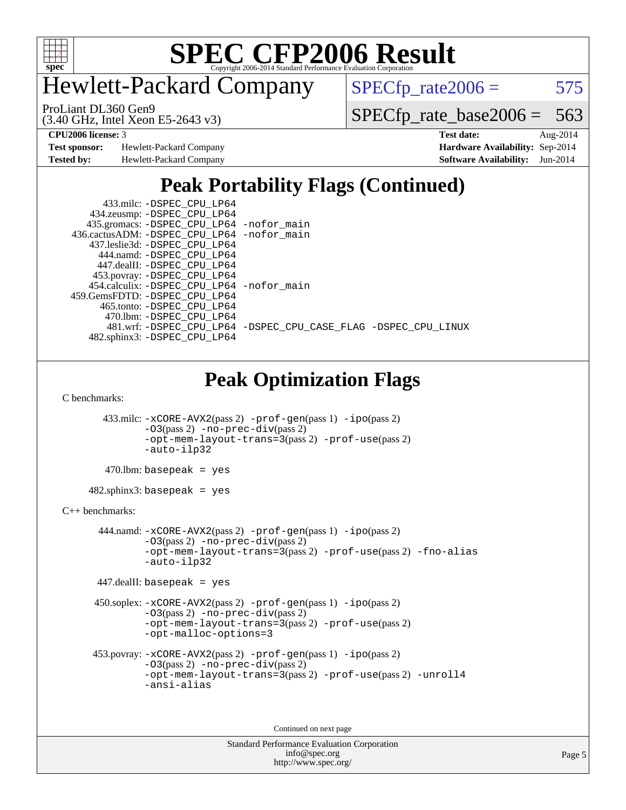

Hewlett-Packard Company

 $SPECTp_rate2006 = 575$ 

(3.40 GHz, Intel Xeon E5-2643 v3) ProLiant DL360 Gen9

[SPECfp\\_rate\\_base2006 =](http://www.spec.org/auto/cpu2006/Docs/result-fields.html#SPECfpratebase2006) 563

**[Test sponsor:](http://www.spec.org/auto/cpu2006/Docs/result-fields.html#Testsponsor)** Hewlett-Packard Company **[Hardware Availability:](http://www.spec.org/auto/cpu2006/Docs/result-fields.html#HardwareAvailability)** Sep-2014 **[Tested by:](http://www.spec.org/auto/cpu2006/Docs/result-fields.html#Testedby)** Hewlett-Packard Company **[Software Availability:](http://www.spec.org/auto/cpu2006/Docs/result-fields.html#SoftwareAvailability)** Jun-2014

**[CPU2006 license:](http://www.spec.org/auto/cpu2006/Docs/result-fields.html#CPU2006license)** 3 **[Test date:](http://www.spec.org/auto/cpu2006/Docs/result-fields.html#Testdate)** Aug-2014

# **[Peak Portability Flags \(Continued\)](http://www.spec.org/auto/cpu2006/Docs/result-fields.html#PeakPortabilityFlags)**

| 433.milc: -DSPEC CPU LP64                   |                                                                |
|---------------------------------------------|----------------------------------------------------------------|
| 434.zeusmp: -DSPEC_CPU_LP64                 |                                                                |
| 435.gromacs: -DSPEC_CPU_LP64 -nofor_main    |                                                                |
| 436.cactusADM: -DSPEC_CPU_LP64 -nofor main  |                                                                |
| 437.leslie3d: -DSPEC_CPU LP64               |                                                                |
| 444.namd: -DSPEC CPU LP64                   |                                                                |
| 447.dealII: -DSPEC CPU LP64                 |                                                                |
| 453.povray: -DSPEC_CPU_LP64                 |                                                                |
| 454.calculix: - DSPEC CPU LP64 - nofor main |                                                                |
| 459.GemsFDTD: -DSPEC CPU LP64               |                                                                |
| 465.tonto: -DSPEC CPU LP64                  |                                                                |
| 470.1bm: - DSPEC CPU LP64                   |                                                                |
|                                             | 481.wrf: -DSPEC CPU_LP64 -DSPEC_CPU_CASE_FLAG -DSPEC_CPU_LINUX |
| 482.sphinx3: -DSPEC_CPU_LP64                |                                                                |

# **[Peak Optimization Flags](http://www.spec.org/auto/cpu2006/Docs/result-fields.html#PeakOptimizationFlags)**

[C benchmarks](http://www.spec.org/auto/cpu2006/Docs/result-fields.html#Cbenchmarks):

 433.milc: [-xCORE-AVX2](http://www.spec.org/cpu2006/results/res2014q3/cpu2006-20140908-31224.flags.html#user_peakPASS2_CFLAGSPASS2_LDFLAGS433_milc_f-xAVX2_5f5fc0cbe2c9f62c816d3e45806c70d7)(pass 2) [-prof-gen](http://www.spec.org/cpu2006/results/res2014q3/cpu2006-20140908-31224.flags.html#user_peakPASS1_CFLAGSPASS1_LDFLAGS433_milc_prof_gen_e43856698f6ca7b7e442dfd80e94a8fc)(pass 1) [-ipo](http://www.spec.org/cpu2006/results/res2014q3/cpu2006-20140908-31224.flags.html#user_peakPASS2_CFLAGSPASS2_LDFLAGS433_milc_f-ipo)(pass 2) [-O3](http://www.spec.org/cpu2006/results/res2014q3/cpu2006-20140908-31224.flags.html#user_peakPASS2_CFLAGSPASS2_LDFLAGS433_milc_f-O3)(pass 2) [-no-prec-div](http://www.spec.org/cpu2006/results/res2014q3/cpu2006-20140908-31224.flags.html#user_peakPASS2_CFLAGSPASS2_LDFLAGS433_milc_f-no-prec-div)(pass 2) [-opt-mem-layout-trans=3](http://www.spec.org/cpu2006/results/res2014q3/cpu2006-20140908-31224.flags.html#user_peakPASS2_CFLAGS433_milc_f-opt-mem-layout-trans_a7b82ad4bd7abf52556d4961a2ae94d5)(pass 2) [-prof-use](http://www.spec.org/cpu2006/results/res2014q3/cpu2006-20140908-31224.flags.html#user_peakPASS2_CFLAGSPASS2_LDFLAGS433_milc_prof_use_bccf7792157ff70d64e32fe3e1250b55)(pass 2) [-auto-ilp32](http://www.spec.org/cpu2006/results/res2014q3/cpu2006-20140908-31224.flags.html#user_peakCOPTIMIZE433_milc_f-auto-ilp32)

 $470.1$ bm: basepeak = yes

 $482$ .sphinx3: basepeak = yes

#### [C++ benchmarks:](http://www.spec.org/auto/cpu2006/Docs/result-fields.html#CXXbenchmarks)

 444.namd: [-xCORE-AVX2](http://www.spec.org/cpu2006/results/res2014q3/cpu2006-20140908-31224.flags.html#user_peakPASS2_CXXFLAGSPASS2_LDFLAGS444_namd_f-xAVX2_5f5fc0cbe2c9f62c816d3e45806c70d7)(pass 2) [-prof-gen](http://www.spec.org/cpu2006/results/res2014q3/cpu2006-20140908-31224.flags.html#user_peakPASS1_CXXFLAGSPASS1_LDFLAGS444_namd_prof_gen_e43856698f6ca7b7e442dfd80e94a8fc)(pass 1) [-ipo](http://www.spec.org/cpu2006/results/res2014q3/cpu2006-20140908-31224.flags.html#user_peakPASS2_CXXFLAGSPASS2_LDFLAGS444_namd_f-ipo)(pass 2) [-O3](http://www.spec.org/cpu2006/results/res2014q3/cpu2006-20140908-31224.flags.html#user_peakPASS2_CXXFLAGSPASS2_LDFLAGS444_namd_f-O3)(pass 2) [-no-prec-div](http://www.spec.org/cpu2006/results/res2014q3/cpu2006-20140908-31224.flags.html#user_peakPASS2_CXXFLAGSPASS2_LDFLAGS444_namd_f-no-prec-div)(pass 2) [-opt-mem-layout-trans=3](http://www.spec.org/cpu2006/results/res2014q3/cpu2006-20140908-31224.flags.html#user_peakPASS2_CXXFLAGS444_namd_f-opt-mem-layout-trans_a7b82ad4bd7abf52556d4961a2ae94d5)(pass 2) [-prof-use](http://www.spec.org/cpu2006/results/res2014q3/cpu2006-20140908-31224.flags.html#user_peakPASS2_CXXFLAGSPASS2_LDFLAGS444_namd_prof_use_bccf7792157ff70d64e32fe3e1250b55)(pass 2) [-fno-alias](http://www.spec.org/cpu2006/results/res2014q3/cpu2006-20140908-31224.flags.html#user_peakCXXOPTIMIZE444_namd_f-no-alias_694e77f6c5a51e658e82ccff53a9e63a) [-auto-ilp32](http://www.spec.org/cpu2006/results/res2014q3/cpu2006-20140908-31224.flags.html#user_peakCXXOPTIMIZE444_namd_f-auto-ilp32)

 $447$ .dealII: basepeak = yes

 450.soplex: [-xCORE-AVX2](http://www.spec.org/cpu2006/results/res2014q3/cpu2006-20140908-31224.flags.html#user_peakPASS2_CXXFLAGSPASS2_LDFLAGS450_soplex_f-xAVX2_5f5fc0cbe2c9f62c816d3e45806c70d7)(pass 2) [-prof-gen](http://www.spec.org/cpu2006/results/res2014q3/cpu2006-20140908-31224.flags.html#user_peakPASS1_CXXFLAGSPASS1_LDFLAGS450_soplex_prof_gen_e43856698f6ca7b7e442dfd80e94a8fc)(pass 1) [-ipo](http://www.spec.org/cpu2006/results/res2014q3/cpu2006-20140908-31224.flags.html#user_peakPASS2_CXXFLAGSPASS2_LDFLAGS450_soplex_f-ipo)(pass 2) [-O3](http://www.spec.org/cpu2006/results/res2014q3/cpu2006-20140908-31224.flags.html#user_peakPASS2_CXXFLAGSPASS2_LDFLAGS450_soplex_f-O3)(pass 2) [-no-prec-div](http://www.spec.org/cpu2006/results/res2014q3/cpu2006-20140908-31224.flags.html#user_peakPASS2_CXXFLAGSPASS2_LDFLAGS450_soplex_f-no-prec-div)(pass 2) [-opt-mem-layout-trans=3](http://www.spec.org/cpu2006/results/res2014q3/cpu2006-20140908-31224.flags.html#user_peakPASS2_CXXFLAGS450_soplex_f-opt-mem-layout-trans_a7b82ad4bd7abf52556d4961a2ae94d5)(pass 2) [-prof-use](http://www.spec.org/cpu2006/results/res2014q3/cpu2006-20140908-31224.flags.html#user_peakPASS2_CXXFLAGSPASS2_LDFLAGS450_soplex_prof_use_bccf7792157ff70d64e32fe3e1250b55)(pass 2) [-opt-malloc-options=3](http://www.spec.org/cpu2006/results/res2014q3/cpu2006-20140908-31224.flags.html#user_peakOPTIMIZE450_soplex_f-opt-malloc-options_13ab9b803cf986b4ee62f0a5998c2238)

```
 453.povray: -xCORE-AVX2(pass 2) -prof-gen(pass 1) -ipo(pass 2)
-O3(pass 2) -no-prec-div(pass 2)
 -opt-mem-layout-trans=3(pass 2) -prof-use(pass 2) -unroll4
 -ansi-alias
```
Continued on next page

```
Standard Performance Evaluation Corporation
    info@spec.org
  http://www.spec.org/
```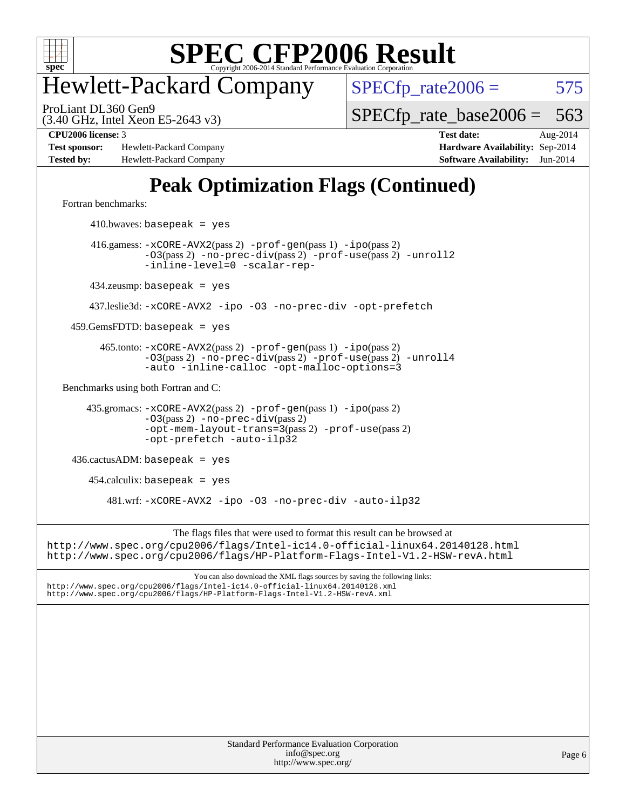

# Hewlett-Packard Company

 $SPECfp_rate2006 = 575$  $SPECfp_rate2006 = 575$ 

(3.40 GHz, Intel Xeon E5-2643 v3) ProLiant DL360 Gen9

[SPECfp\\_rate\\_base2006 =](http://www.spec.org/auto/cpu2006/Docs/result-fields.html#SPECfpratebase2006) 563

**[Test sponsor:](http://www.spec.org/auto/cpu2006/Docs/result-fields.html#Testsponsor)** Hewlett-Packard Company **[Hardware Availability:](http://www.spec.org/auto/cpu2006/Docs/result-fields.html#HardwareAvailability)** Sep-2014 **[Tested by:](http://www.spec.org/auto/cpu2006/Docs/result-fields.html#Testedby)** Hewlett-Packard Company **[Software Availability:](http://www.spec.org/auto/cpu2006/Docs/result-fields.html#SoftwareAvailability)** Jun-2014

**[CPU2006 license:](http://www.spec.org/auto/cpu2006/Docs/result-fields.html#CPU2006license)** 3 **[Test date:](http://www.spec.org/auto/cpu2006/Docs/result-fields.html#Testdate)** Aug-2014

# **[Peak Optimization Flags \(Continued\)](http://www.spec.org/auto/cpu2006/Docs/result-fields.html#PeakOptimizationFlags)**

[Fortran benchmarks](http://www.spec.org/auto/cpu2006/Docs/result-fields.html#Fortranbenchmarks):

 $410.bwaves: basepeak = yes$  416.gamess: [-xCORE-AVX2](http://www.spec.org/cpu2006/results/res2014q3/cpu2006-20140908-31224.flags.html#user_peakPASS2_FFLAGSPASS2_LDFLAGS416_gamess_f-xAVX2_5f5fc0cbe2c9f62c816d3e45806c70d7)(pass 2) [-prof-gen](http://www.spec.org/cpu2006/results/res2014q3/cpu2006-20140908-31224.flags.html#user_peakPASS1_FFLAGSPASS1_LDFLAGS416_gamess_prof_gen_e43856698f6ca7b7e442dfd80e94a8fc)(pass 1) [-ipo](http://www.spec.org/cpu2006/results/res2014q3/cpu2006-20140908-31224.flags.html#user_peakPASS2_FFLAGSPASS2_LDFLAGS416_gamess_f-ipo)(pass 2) [-O3](http://www.spec.org/cpu2006/results/res2014q3/cpu2006-20140908-31224.flags.html#user_peakPASS2_FFLAGSPASS2_LDFLAGS416_gamess_f-O3)(pass 2) [-no-prec-div](http://www.spec.org/cpu2006/results/res2014q3/cpu2006-20140908-31224.flags.html#user_peakPASS2_FFLAGSPASS2_LDFLAGS416_gamess_f-no-prec-div)(pass 2) [-prof-use](http://www.spec.org/cpu2006/results/res2014q3/cpu2006-20140908-31224.flags.html#user_peakPASS2_FFLAGSPASS2_LDFLAGS416_gamess_prof_use_bccf7792157ff70d64e32fe3e1250b55)(pass 2) [-unroll2](http://www.spec.org/cpu2006/results/res2014q3/cpu2006-20140908-31224.flags.html#user_peakOPTIMIZE416_gamess_f-unroll_784dae83bebfb236979b41d2422d7ec2) [-inline-level=0](http://www.spec.org/cpu2006/results/res2014q3/cpu2006-20140908-31224.flags.html#user_peakOPTIMIZE416_gamess_f-inline-level_318d07a09274ad25e8d15dbfaa68ba50) [-scalar-rep-](http://www.spec.org/cpu2006/results/res2014q3/cpu2006-20140908-31224.flags.html#user_peakOPTIMIZE416_gamess_f-disablescalarrep_abbcad04450fb118e4809c81d83c8a1d) 434.zeusmp: basepeak = yes 437.leslie3d: [-xCORE-AVX2](http://www.spec.org/cpu2006/results/res2014q3/cpu2006-20140908-31224.flags.html#user_peakOPTIMIZE437_leslie3d_f-xAVX2_5f5fc0cbe2c9f62c816d3e45806c70d7) [-ipo](http://www.spec.org/cpu2006/results/res2014q3/cpu2006-20140908-31224.flags.html#user_peakOPTIMIZE437_leslie3d_f-ipo) [-O3](http://www.spec.org/cpu2006/results/res2014q3/cpu2006-20140908-31224.flags.html#user_peakOPTIMIZE437_leslie3d_f-O3) [-no-prec-div](http://www.spec.org/cpu2006/results/res2014q3/cpu2006-20140908-31224.flags.html#user_peakOPTIMIZE437_leslie3d_f-no-prec-div) [-opt-prefetch](http://www.spec.org/cpu2006/results/res2014q3/cpu2006-20140908-31224.flags.html#user_peakOPTIMIZE437_leslie3d_f-opt-prefetch)  $459.GemsFDTD: basepeak = yes$  465.tonto: [-xCORE-AVX2](http://www.spec.org/cpu2006/results/res2014q3/cpu2006-20140908-31224.flags.html#user_peakPASS2_FFLAGSPASS2_LDFLAGS465_tonto_f-xAVX2_5f5fc0cbe2c9f62c816d3e45806c70d7)(pass 2) [-prof-gen](http://www.spec.org/cpu2006/results/res2014q3/cpu2006-20140908-31224.flags.html#user_peakPASS1_FFLAGSPASS1_LDFLAGS465_tonto_prof_gen_e43856698f6ca7b7e442dfd80e94a8fc)(pass 1) [-ipo](http://www.spec.org/cpu2006/results/res2014q3/cpu2006-20140908-31224.flags.html#user_peakPASS2_FFLAGSPASS2_LDFLAGS465_tonto_f-ipo)(pass 2) [-O3](http://www.spec.org/cpu2006/results/res2014q3/cpu2006-20140908-31224.flags.html#user_peakPASS2_FFLAGSPASS2_LDFLAGS465_tonto_f-O3)(pass 2) [-no-prec-div](http://www.spec.org/cpu2006/results/res2014q3/cpu2006-20140908-31224.flags.html#user_peakPASS2_FFLAGSPASS2_LDFLAGS465_tonto_f-no-prec-div)(pass 2) [-prof-use](http://www.spec.org/cpu2006/results/res2014q3/cpu2006-20140908-31224.flags.html#user_peakPASS2_FFLAGSPASS2_LDFLAGS465_tonto_prof_use_bccf7792157ff70d64e32fe3e1250b55)(pass 2) [-unroll4](http://www.spec.org/cpu2006/results/res2014q3/cpu2006-20140908-31224.flags.html#user_peakOPTIMIZE465_tonto_f-unroll_4e5e4ed65b7fd20bdcd365bec371b81f) [-auto](http://www.spec.org/cpu2006/results/res2014q3/cpu2006-20140908-31224.flags.html#user_peakOPTIMIZE465_tonto_f-auto) [-inline-calloc](http://www.spec.org/cpu2006/results/res2014q3/cpu2006-20140908-31224.flags.html#user_peakOPTIMIZE465_tonto_f-inline-calloc) [-opt-malloc-options=3](http://www.spec.org/cpu2006/results/res2014q3/cpu2006-20140908-31224.flags.html#user_peakOPTIMIZE465_tonto_f-opt-malloc-options_13ab9b803cf986b4ee62f0a5998c2238) [Benchmarks using both Fortran and C](http://www.spec.org/auto/cpu2006/Docs/result-fields.html#BenchmarksusingbothFortranandC): 435.gromacs: [-xCORE-AVX2](http://www.spec.org/cpu2006/results/res2014q3/cpu2006-20140908-31224.flags.html#user_peakPASS2_CFLAGSPASS2_FFLAGSPASS2_LDFLAGS435_gromacs_f-xAVX2_5f5fc0cbe2c9f62c816d3e45806c70d7)(pass 2) [-prof-gen](http://www.spec.org/cpu2006/results/res2014q3/cpu2006-20140908-31224.flags.html#user_peakPASS1_CFLAGSPASS1_FFLAGSPASS1_LDFLAGS435_gromacs_prof_gen_e43856698f6ca7b7e442dfd80e94a8fc)(pass 1) [-ipo](http://www.spec.org/cpu2006/results/res2014q3/cpu2006-20140908-31224.flags.html#user_peakPASS2_CFLAGSPASS2_FFLAGSPASS2_LDFLAGS435_gromacs_f-ipo)(pass 2) [-O3](http://www.spec.org/cpu2006/results/res2014q3/cpu2006-20140908-31224.flags.html#user_peakPASS2_CFLAGSPASS2_FFLAGSPASS2_LDFLAGS435_gromacs_f-O3)(pass 2) [-no-prec-div](http://www.spec.org/cpu2006/results/res2014q3/cpu2006-20140908-31224.flags.html#user_peakPASS2_CFLAGSPASS2_FFLAGSPASS2_LDFLAGS435_gromacs_f-no-prec-div)(pass 2) [-opt-mem-layout-trans=3](http://www.spec.org/cpu2006/results/res2014q3/cpu2006-20140908-31224.flags.html#user_peakPASS2_CFLAGS435_gromacs_f-opt-mem-layout-trans_a7b82ad4bd7abf52556d4961a2ae94d5)(pass 2) [-prof-use](http://www.spec.org/cpu2006/results/res2014q3/cpu2006-20140908-31224.flags.html#user_peakPASS2_CFLAGSPASS2_FFLAGSPASS2_LDFLAGS435_gromacs_prof_use_bccf7792157ff70d64e32fe3e1250b55)(pass 2) [-opt-prefetch](http://www.spec.org/cpu2006/results/res2014q3/cpu2006-20140908-31224.flags.html#user_peakOPTIMIZE435_gromacs_f-opt-prefetch) [-auto-ilp32](http://www.spec.org/cpu2006/results/res2014q3/cpu2006-20140908-31224.flags.html#user_peakCOPTIMIZE435_gromacs_f-auto-ilp32) 436.cactusADM: basepeak = yes  $454$ .calculix: basepeak = yes 481.wrf: [-xCORE-AVX2](http://www.spec.org/cpu2006/results/res2014q3/cpu2006-20140908-31224.flags.html#user_peakOPTIMIZE481_wrf_f-xAVX2_5f5fc0cbe2c9f62c816d3e45806c70d7) [-ipo](http://www.spec.org/cpu2006/results/res2014q3/cpu2006-20140908-31224.flags.html#user_peakOPTIMIZE481_wrf_f-ipo) [-O3](http://www.spec.org/cpu2006/results/res2014q3/cpu2006-20140908-31224.flags.html#user_peakOPTIMIZE481_wrf_f-O3) [-no-prec-div](http://www.spec.org/cpu2006/results/res2014q3/cpu2006-20140908-31224.flags.html#user_peakOPTIMIZE481_wrf_f-no-prec-div) [-auto-ilp32](http://www.spec.org/cpu2006/results/res2014q3/cpu2006-20140908-31224.flags.html#user_peakCOPTIMIZE481_wrf_f-auto-ilp32) The flags files that were used to format this result can be browsed at <http://www.spec.org/cpu2006/flags/Intel-ic14.0-official-linux64.20140128.html> <http://www.spec.org/cpu2006/flags/HP-Platform-Flags-Intel-V1.2-HSW-revA.html> You can also download the XML flags sources by saving the following links: <http://www.spec.org/cpu2006/flags/Intel-ic14.0-official-linux64.20140128.xml> <http://www.spec.org/cpu2006/flags/HP-Platform-Flags-Intel-V1.2-HSW-revA.xml>